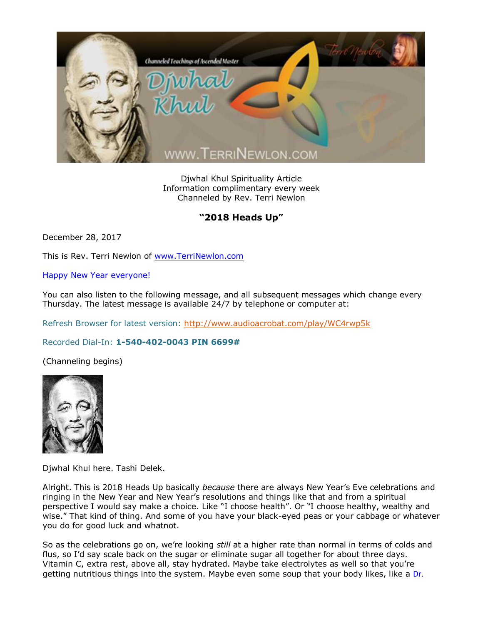

Djwhal Khul Spirituality Article Information complimentary every week Channeled by Rev. Terri Newlon

## "2018 Heads Up"

December 28, 2017

This is Rev. Terri Newlon of [www.TerriNewlon.com](http://www.terrinewlon.com/)

Happy New Year everyone!

You can also listen to the following message, and all subsequent messages which change every Thursday. The latest message is available 24/7 by telephone or computer at:

Refresh Browser for latest version:<http://www.audioacrobat.com/play/WC4rwp5k>

Recorded Dial-In: **1-540-402-0043 PIN 6699#**

(Channeling begins)



Djwhal Khul here. Tashi Delek.

Alright. This is 2018 Heads Up basically *because* there are always New Year's Eve celebrations and ringing in the New Year and New Year's resolutions and things like that and from a spiritual perspective I would say make a choice. Like "I choose health". Or "I choose healthy, wealthy and wise." That kind of thing. And some of you have your black-eyed peas or your cabbage or whatever you do for good luck and whatnot.

So as the celebrations go on, we're looking *still* at a higher rate than normal in terms of colds and flus, so I'd say scale back on the sugar or eliminate sugar all together for about three days. Vitamin C, extra rest, above all, stay hydrated. Maybe take electrolytes as well so that you're getting nutritious things into the system. Maybe even some soup that your body likes, like a [Dr.](https://www.google.com/#q=dr+bieler%27s+broth)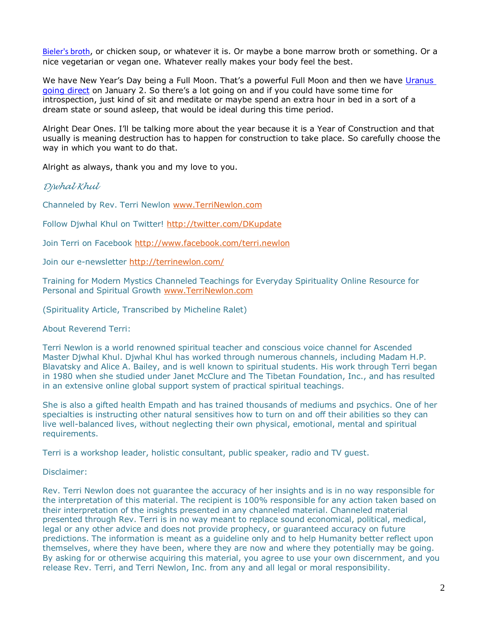[Bieler's broth](https://www.google.com/#q=dr+bieler%27s+broth), or chicken soup, or whatever it is. Or maybe a bone marrow broth or something. Or a nice vegetarian or vegan one. Whatever really makes your body feel the best.

We have New Year's Day being a Full Moon. That's a powerful Full Moon and then we have Uranus [going direct](http://www.terrinewlon.com/telecourses.php) on January 2. So there's a lot going on and if you could have some time for introspection, just kind of sit and meditate or maybe spend an extra hour in bed in a sort of a dream state or sound asleep, that would be ideal during this time period.

Alright Dear Ones. I'll be talking more about the year because it is a Year of Construction and that usually is meaning destruction has to happen for construction to take place. So carefully choose the way in which you want to do that.

Alright as always, thank you and my love to you.

*Djwhal Khul*

Channeled by Rev. Terri Newlon [www.TerriNewlon.com](http://www.terrinewlon.com/)

Follow Djwhal Khul on Twitter!<http://twitter.com/DKupdate>

Join Terri on Facebook<http://www.facebook.com/terri.newlon>

Join our e-newsletter<http://terrinewlon.com/>

Training for Modern Mystics Channeled Teachings for Everyday Spirituality Online Resource for Personal and Spiritual Growth [www.TerriNewlon.com](http://www.terrinewlon.com/)

(Spirituality Article, Transcribed by Micheline Ralet)

About Reverend Terri:

Terri Newlon is a world renowned spiritual teacher and conscious voice channel for Ascended Master Djwhal Khul. Djwhal Khul has worked through numerous channels, including Madam H.P. Blavatsky and Alice A. Bailey, and is well known to spiritual students. His work through Terri began in 1980 when she studied under Janet McClure and The Tibetan Foundation, Inc., and has resulted in an extensive online global support system of practical spiritual teachings.

She is also a gifted health Empath and has trained thousands of mediums and psychics. One of her specialties is instructing other natural sensitives how to turn on and off their abilities so they can live well-balanced lives, without neglecting their own physical, emotional, mental and spiritual requirements.

Terri is a workshop leader, holistic consultant, public speaker, radio and TV guest.

Disclaimer:

Rev. Terri Newlon does not guarantee the accuracy of her insights and is in no way responsible for the interpretation of this material. The recipient is 100% responsible for any action taken based on their interpretation of the insights presented in any channeled material. Channeled material presented through Rev. Terri is in no way meant to replace sound economical, political, medical, legal or any other advice and does not provide prophecy, or guaranteed accuracy on future predictions. The information is meant as a guideline only and to help Humanity better reflect upon themselves, where they have been, where they are now and where they potentially may be going. By asking for or otherwise acquiring this material, you agree to use your own discernment, and you release Rev. Terri, and Terri Newlon, Inc. from any and all legal or moral responsibility.